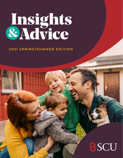# Insights<br>&Advice

#### **2021 SPRING/SUMMER EDITION**

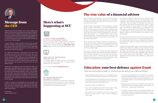## Here's what's happening at SCU



#### IT PAYS TO BE A MEMBER: \$10 MILLION MEMBER BONUS

#### NEW DIGITAL EXPERIENCE COMING MAY 18

Being a member of SCU means that our success is your success, too. This year, we have shown that it pays to be a member by sharing a **\$10 million cash bonus**. Thank you for your continued loyalty to SCU.



#### 80 YEARS AND 100,000 MEMBERS STRONG!

Get ready today by updating your email address and mobile phone number with us through online banking or our mobile app.

#### Learn more at **<scu.mb.ca/digitalbanking>**.



This June, SCU will reach two important milestones. We're excited to share the news, and to celebrate we're giving all active members a chance to win cash prizes! Watch for details coming soon.



#### Message from the CEO

Welcome to the first edition of our new Insights and Advice, an evolution of our previous member newsletter. Our new format, published twice a year, will provide you with more articles, recommendations, and updates on 'everything SCU.' You'll receive advice and guidance on a variety of products, services, and options to help you reach your financial goals.

All the best, Glenn Friesen, CEO

In each edition, I'll share what's on my mind, provide industry insights, and update you on the latest at SCU. For instance, this year we will reach two important milestones: 80 years serving our community and growing to 100,000 members!

As I reflect on the past, I think about how much has changed since SCU first opened its door (yes, one door) almost 80 years ago. In the nearly 25 years since I became CEO, we've gone from passbooks to eStatements, from depositing cheques in person, to depositing them from the comfort of our homes, and from banking only during set branch hours to 24/7 digital access.

What hasn't changed since we first opened in 1941 is our dedication and commitment to serving our members and supporting the communities where we operate. Certainly, technology has played a role in the changes over the years, but only as a means of providing you with greater convenience and options. We know that technology will continue to evolve, but our promise to provide you with solid advice and tailored solutions will never change.

"Every Canadian should have some sort of a financi advisor," says Manish Kaushal, Associate Vice Presider of Wealth and Business Solutions. So why don't they And why should they?

I want to extend my gratitude for your loyalty and patience during the uncertain times of the past year. Our success in tackling and adapting to constant change could not have happened without your trust and commitment.

"It's like having a good doctor," Kaushal explains. A good doctor comes in and asks a lot of good questions the first time they meet you. They look at your history, what ailing you, and what's keeping you up at night. Then the come up with a plan to keep things good or make there better, and check in on a regular basis to see if you' following that plan. Are you getting that nutrition? Are you exercising? Did you find out about a new health risk we need to adjust for?

#### The true value of a financial advisor

What doctors and financial planners really have common is this: They know your future wellness depend on taking care of yourself now. Or, as Kaushal puts it, "You financial destiny is predetermined. It's based on the actions you take today."

- 1. Keep all personal documents in a secure place. Never carry your birth certificate, passport, or SIN with you.
- 2. Don't tell anyone your PIN or share account informatio Be aware of your surroundings and cover your hand when using an ATM or your debit card.
- 3. Shred your bills and statements.
- 4. If you don't recognize the sender, never open emails, pop-up windows, attachments, or select links.
- 8. Unless you made contact or know the organization, do not provide personal, credit card, banking, or account information to anyone, whether over the phone, online, or at your front door. 5. Be suspicious of requests to send money from people you don't know or return money mistakenly sent to you.

| ial<br>nt<br>y? | The ability to steer the ship during tumultuous times<br>might be the greatest value of a financial advisor, and<br>it explains why a strong, transparent relationship is so<br>important. The more open the dialogue you have with<br>your advisor, the better the experience will be. "There |
|-----------------|------------------------------------------------------------------------------------------------------------------------------------------------------------------------------------------------------------------------------------------------------------------------------------------------|
| bc              | must be honesty on both sides of the desk," Kaushal                                                                                                                                                                                                                                            |
| ne<br>ťs        | says. "The advice an advisor gives you is based on the                                                                                                                                                                                                                                         |
| ey              | information you provide. And if something makes you<br>uncomfortable, or you see something in the market that                                                                                                                                                                                  |
| m               | doesn't make sense, let's talk about it. Don't panic. Don't                                                                                                                                                                                                                                    |
| 're             | get spooked."                                                                                                                                                                                                                                                                                  |
| <b>re</b>       |                                                                                                                                                                                                                                                                                                |
| sk              | The bottom line is that if you want the future you envision<br>for yourself, you should commit to getting the guidance<br>you need to get there. So if you understand the value of                                                                                                             |
| in<br>ds<br>ur  | a good doctor, maybe it's time you treated your finances<br>to a checkup.                                                                                                                                                                                                                      |
| ne              | Credential Financial Strategies Inc. is a member company<br>under Aviso Wealth Inc., offering financial planning, life<br>insurance and investments to members of credit unions                                                                                                                |
| re              | and their communities. Your insurance contract will                                                                                                                                                                                                                                            |
| эn              | provide details of the coverage available under the plan                                                                                                                                                                                                                                       |
| эn<br>lly       | you choose. Restrictions may apply. ®Credential is a<br>registered mark owned by Aviso Wealth Inc. and is used                                                                                                                                                                                 |
| $\sqrt{C}$      | undar licansa                                                                                                                                                                                                                                                                                  |

| er | 6. Don't sign any agreements or contracts to purchase     |
|----|-----------------------------------------------------------|
| J. | anything without taking time to think it over. If it is a |
|    | limited time offer and you're being pressured for an      |
| n. | immediate response, it's probably a sign that it's best   |
| ds | not to buy.                                               |

7. Make sure you ask for proof of identity and check the references of all services providers who do work on your home — especially if unsolicited.

*under license.* ingrained in decisions about money and children," says Of course, in money as in health, the right actions are easier said than done. Events and emotions can threate even the best-laid plans, but that's precisely when a advisor really shines. "People get very emotional Kaushal. "They hold those close to the heart."

## Education: your best defence against fraud

Here are some tips to keep in mind as you go about your daily activities.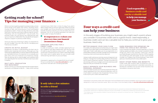### Getting ready for school? Tips for managing your finances

When it comes to getting ready for postsecondary school, some things come easier than others. Deciding which courses to take, and receiving your much-anticipated acceptance letter? Those are big decisions and take hard work. Getting financing to help you pay for school? Thankfully, with our StudentFLEX™ Line of Credit, this process is easy. You can borrow up to \$10,000 per year, up to a maximum of \$40,000. Plus, StudentFLEX doesn't require a cosigner or previous credit history.

#### WAIT UNTIL GRADUATION FOR REPAYMENT

Once you have your financing in place, it's important to set your budget. Here are a few tips for managing your finances as a student:

#### CREATE AN INITIAL BUDGET

#### CONSIDER APPLYING FOR A CREDIT CARD

Budgeting is all about understanding the best way to balance your expenses and revenue. Although you may have built a budget before, or have an idea of what expenses you had before school, it's important to re-evaluate your plan every time your financial circumstances change. Start by setting up an initial budget, and carefully track your spending for the next few months to see if your plan is realistic.

While in school, you have big expenses like transportation, textbooks, and laptops to pay for — likely while working

minimal hours. With that in mind, it's okay if you aren't able to repay what you borrow right away. When you build your budget, your focus should be on covering interest and life insurance costs for your line of credit. Once you graduate, one of our lending specialists will help you create a plan to repay the balance.

> It's a reality of small business ownership that you might nee supplies, or your bills might come due before your custome have paid. Credit cards allow you to put payments on predictable schedule, and help manage the time betwee invoicing a client and receiving their payment.

#### EASILY SEPARATE YOUR BUSINESS AND PERSONAL EXPENSES

In order to build your credit, consider applying for our SCU Collabria Cash Back Mastercard® and use your line of credit to pay the balance every month— just like you would with a chequing account. When used responsibly, this credit card is a great option for you to build credit while earning cash back on your purchases.

> It's much easier to track your business expenses if they are clearly separated from your personal expenses. And, it much easier to produce a list of expenses if all you have to do is print your credit card statements.

Interested in applying for a StudentFLEX line of credit? Fill out a contact form at **[scu.mb.ca/student](http://scu.mb.ca/student)** or visit any branch and talk with a lending specialist.

#### It only takes a few minutes to refer a friend

Tell your friends and family why you love SCU, and you'll be entered to **win 1 of 6 \$500 savings accounts** for every member you refer.

Refer a friend online at **[scu.mb.ca/referral](http://www.scu.mb.ca/referral)**.

#### It's important to re-evaluate your plan every time your financial circumstances change.

Used responsibly, a business credit card can be a valuable tool to help you manage your business.



# Four ways a credit card can help your business

Interested in a business credit card? With both Visa\* and Mastercard® products available, we're sure to have a credit card designed to meet your business needs. Talk to us to learn more and apply today at **[scu.mb.ca/businesscreditcards](http://scu.mb.ca/businesscreditcards)**.

#### BETTER MANAGE YOUR CASH FLOW

Using a credit card as your primary source of payment can help you manage the monthly ebbs and flows of busines but it's never a long-term solution. The key to success is set and stay within your budget, and never extend yourself beyond what your business can manage.

| эd<br>rs<br>a<br>ξŊ<br>θIJ<br>SS. | EARN REWARDS FOR SPENDING ON<br>ITEMS YOU WOULD BUY ANYWAY<br>If your business has regular monthly expenses, or if you're<br>making capital purchases, why not earn rewards for those<br>things you have to buy anyway? Using your card for<br>purchases like gas, travel, phone, internet, or office supplies<br>can provide you with extra perks. To earn more rewards,<br>consider our Collabria Visa Infinite Business* Card, which<br>gives you rewards points for every dollar spent. |
|-----------------------------------|---------------------------------------------------------------------------------------------------------------------------------------------------------------------------------------------------------------------------------------------------------------------------------------------------------------------------------------------------------------------------------------------------------------------------------------------------------------------------------------------|
| to                                | ENJOY OTHER PERKS AND BENEFITS                                                                                                                                                                                                                                                                                                                                                                                                                                                              |
| elf                               | Credit cards offer another layer of protection such as                                                                                                                                                                                                                                                                                                                                                                                                                                      |
| re                                | price or purchase protection, extended warranties, or                                                                                                                                                                                                                                                                                                                                                                                                                                       |
| :'s                               | benefits for travellers such as auto rental insurance, trip                                                                                                                                                                                                                                                                                                                                                                                                                                 |
| æ                                 | cancellation insurance, and more.                                                                                                                                                                                                                                                                                                                                                                                                                                                           |

In the early stages of building your business, you might reach a point where you consider if a business credit card is a good choice. Used responsibly, a business credit card can be a valuable tool to help you continue to grow your business. Here's why:

*®The Collabria Mastercard is issued by Collabria Financial Services Inc. pursuant to a license from Mastercard International Incorporated. Mastercard is a registered trademark and the circles design is a trademark of Mastercard International Incorporated.*

*\*The Collabria Visa Card is issued by Collabria Financial Services Inc. pursuant to a license from Visa. \*Trademark of Visa Int., used under license.*

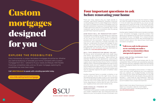"There are many reasons why you might decide to renovate," says Nicole Giesbrecht, Assistant Consumer Lending Manager at SCU's Linden Ridge branch. Whether you want to increase your home's curb appeal, carry out general maintenance, or give your home a personal touch, it takes planning to execute it successfully. Big or small, Giesbrecht says all home renovations start by asking yourself these important questions:

HOW MUCH WILL MY RENOVATION COST? The best place to begin is by estimating your expenses. Giesbrecht recommends adding up all the expenses so you know how much you'll need to confidently proceed with the renovation. Talking to at least two contractors and collecting multiple estimates will help you understand the scope and budget of your project. The more information you collect, the better your estimated costs will be. For more information on budgeting for your renovation, you can download our guidebook at **[scu.mb.ca/renovations](http://scu.mb.ca/renovations)**.

WILL THIS RENOVATION BRING VALUE? "Of course, some renovations add more resale value than others," says Giesbrecht. "But this also depends on how you go about the renovation." Take a kitchen, for example. Modernizing the appearance, using quality materials, and improving the functionality of the space is a great way to raise the value of your home. In contrast, adding custom, industrial-grade appliances may suit your personal needs, but won't appeal to everyone. A good point of reference for determining how much your home will be worth is to collect your contractor quotes and have an appraiser approve the upon-completion value of your home. WHAT ARE EXTRA EXPENSES THAT MIGHT COME UP? With any renovation, you should always plan for the unexpected. Many members are surprised by expenses like unknown permits, upgrades made while renovating, or other unbudgeted repairs that need to be done at the same time. That's where a contingency fund comes in. It helps you cover the costs when appliances are more expensive unexpected expenses."

"The answer to this question is really customized based on your needs," Giesbrecht says. Your financing choice will depend on your home equity, the size of the project, and

**WHERE SMART MONEY GROWS®** 

how you want to access your funds. For instance, maybe you want the ability to access your money as you need it. A line of credit may work best for you, as you can get approved once, reuse the funds in the future, and only pay interest on the funds you use. Or, if you're planning to pay for your project over a number of years, a loan might be the better choice.

Another important factor to consider is whether or not you're putting money into the right home. Are you renovating because you plan to stay in your home longterm, or to add resale value? Giesbrecht says there's also a limit for how much resale value you can add to your home, depending on factors like the size of the home, your neighbourhood, and overall market trends. than you realized, your budget-friendly countertops don't work for your newly-renovated kitchen, or you fall in love with flooring that costs double what you planned. "We get it — costs creep up," says Giesbrecht. "Talk to us early in the process so we can help you make a plan that accommodates those unexpected expenses."

#### HOW SHOULD I FINANCE MY RENOVATION?

Another option Giesbrecht often recommends to members is our renovation mortgage, a specialty product that allows you to spread out the cost of your renovation over the duration of your mortgage. It's a unique product that helps you borrow at a lower rate, and leverage your home's current value or the value of your home upon

renovation completion.

Want to learn more about financing your renovation? Watch our renovation video for more helpful information, and contact a lending specialist at **scu.mb.ca/renovations**.

# Four important questions to ask before renovating your home

"Talk to us early in the process so we can help you make a plan that accommodates those

**<scu.mb.ca/mynextmortgage>**

#### **EXPLORE THE POSSIBILITIES**

Every homeowner is unique. We believe mortgages should be too. Whether you want to build, buy, or renovate your home, it all starts with a custom mortgage from SCU — tailored to fit your needs and lifestyle. With flexible financing, competitive rates, and our 30-year mortgage, exploring the possibilities has never been easier.

**Call 1.800.728.6440 to speak with a lending specialist today.**

# Custom mortgages designed for you